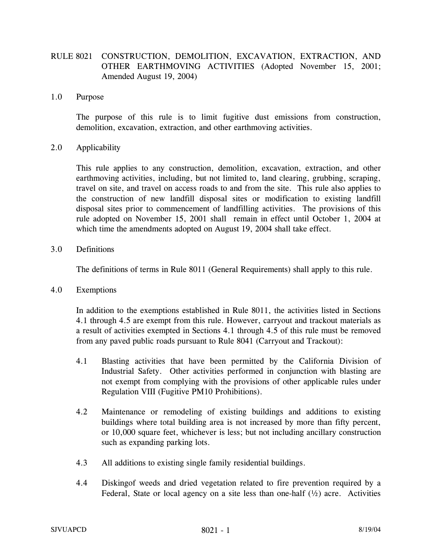## RULE 8021 CONSTRUCTION, DEMOLITION, EXCAVATION, EXTRACTION, AND OTHER EARTHMOVING ACTIVITIES (Adopted November 15, 2001; Amended August 19, 2004)

1.0 Purpose

The purpose of this rule is to limit fugitive dust emissions from construction, demolition, excavation, extraction, and other earthmoving activities.

## 2.0 Applicability

This rule applies to any construction, demolition, excavation, extraction, and other earthmoving activities, including, but not limited to, land clearing, grubbing, scraping, travel on site, and travel on access roads to and from the site. This rule also applies to the construction of new landfill disposal sites or modification to existing landfill disposal sites prior to commencement of landfilling activities. The provisions of this rule adopted on November 15, 2001 shall remain in effect until October 1, 2004 at which time the amendments adopted on August 19, 2004 shall take effect.

3.0 Definitions

The definitions of terms in Rule 8011 (General Requirements) shall apply to this rule.

4.0 Exemptions

In addition to the exemptions established in Rule 8011, the activities listed in Sections 4.1 through 4.5 are exempt from this rule. However, carryout and trackout materials as a result of activities exempted in Sections 4.1 through 4.5 of this rule must be removed from any paved public roads pursuant to Rule 8041 (Carryout and Trackout):

- 4.1 Blasting activities that have been permitted by the California Division of Industrial Safety. Other activities performed in conjunction with blasting are not exempt from complying with the provisions of other applicable rules under Regulation VIII (Fugitive PM10 Prohibitions).
- 4.2 Maintenance or remodeling of existing buildings and additions to existing buildings where total building area is not increased by more than fifty percent, or 10,000 square feet, whichever is less; but not including ancillary construction such as expanding parking lots.
- 4.3 All additions to existing single family residential buildings.
- 4.4 Diskingof weeds and dried vegetation related to fire prevention required by a Federal, State or local agency on a site less than one-half  $(\frac{1}{2})$  acre. Activities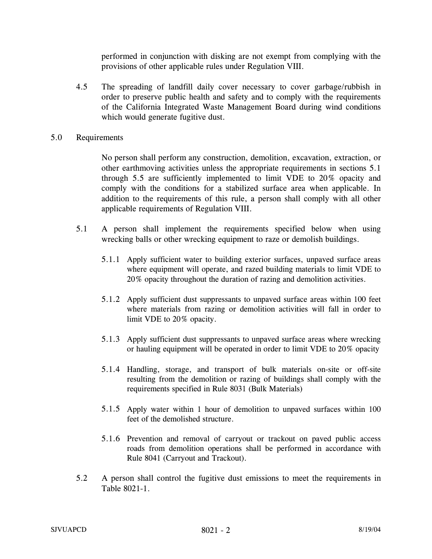performed in conjunction with disking are not exempt from complying with the provisions of other applicable rules under Regulation VIII.

4.5 The spreading of landfill daily cover necessary to cover garbage/rubbish in order to preserve public health and safety and to comply with the requirements of the California Integrated Waste Management Board during wind conditions which would generate fugitive dust.

## 5.0 Requirements

No person shall perform any construction, demolition, excavation, extraction, or other earthmoving activities unless the appropriate requirements in sections 5.1 through 5.5 are sufficiently implemented to limit VDE to 20% opacity and comply with the conditions for a stabilized surface area when applicable. In addition to the requirements of this rule, a person shall comply with all other applicable requirements of Regulation VIII.

- 5.1 A person shall implement the requirements specified below when using wrecking balls or other wrecking equipment to raze or demolish buildings.
	- 5.1.1 Apply sufficient water to building exterior surfaces, unpaved surface areas where equipment will operate, and razed building materials to limit VDE to 20% opacity throughout the duration of razing and demolition activities.
	- 5.1.2 Apply sufficient dust suppressants to unpaved surface areas within 100 feet where materials from razing or demolition activities will fall in order to limit VDE to 20% opacity.
	- 5.1.3 Apply sufficient dust suppressants to unpaved surface areas where wrecking or hauling equipment will be operated in order to limit VDE to 20% opacity
	- 5.1.4 Handling, storage, and transport of bulk materials on-site or off-site resulting from the demolition or razing of buildings shall comply with the requirements specified in Rule 8031 (Bulk Materials)
	- 5.1.5 Apply water within 1 hour of demolition to unpaved surfaces within 100 feet of the demolished structure.
	- 5.1.6 Prevention and removal of carryout or trackout on paved public access roads from demolition operations shall be performed in accordance with Rule 8041 (Carryout and Trackout).
- 5.2 A person shall control the fugitive dust emissions to meet the requirements in Table 8021-1.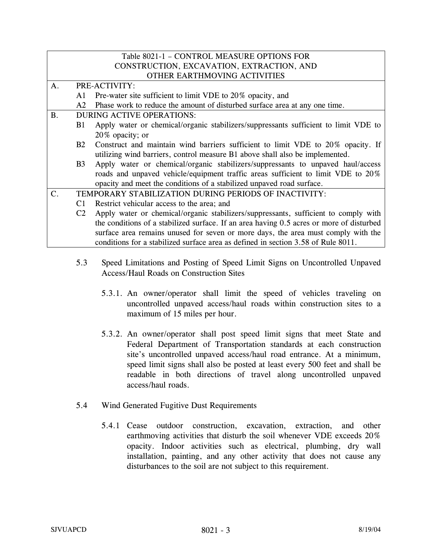| Table 8021-1 - CONTROL MEASURE OPTIONS FOR |                                           |                                                                                          |  |
|--------------------------------------------|-------------------------------------------|------------------------------------------------------------------------------------------|--|
|                                            | CONSTRUCTION, EXCAVATION, EXTRACTION, AND |                                                                                          |  |
| OTHER EARTHMOVING ACTIVITIES               |                                           |                                                                                          |  |
| A.                                         |                                           | PRE-ACTIVITY:                                                                            |  |
|                                            | A1                                        | Pre-water site sufficient to limit VDE to 20% opacity, and                               |  |
|                                            | A2                                        | Phase work to reduce the amount of disturbed surface area at any one time.               |  |
| <b>B.</b>                                  |                                           | <b>DURING ACTIVE OPERATIONS:</b>                                                         |  |
|                                            | B1                                        | Apply water or chemical/organic stabilizers/suppressants sufficient to limit VDE to      |  |
|                                            |                                           | 20\% opacity; or                                                                         |  |
|                                            | B2                                        | Construct and maintain wind barriers sufficient to limit VDE to 20% opacity. If          |  |
|                                            |                                           | utilizing wind barriers, control measure B1 above shall also be implemented.             |  |
|                                            | B3                                        | Apply water or chemical/organic stabilizers/suppressants to unpaved haul/access          |  |
|                                            |                                           | roads and unpaved vehicle/equipment traffic areas sufficient to limit VDE to 20%         |  |
|                                            |                                           | opacity and meet the conditions of a stabilized unpaved road surface.                    |  |
| $C$ .                                      |                                           | TEMPORARY STABILIZATION DURING PERIODS OF INACTIVITY:                                    |  |
|                                            | C <sub>1</sub>                            | Restrict vehicular access to the area; and                                               |  |
|                                            | C2                                        | Apply water or chemical/organic stabilizers/suppressants, sufficient to comply with      |  |
|                                            |                                           | the conditions of a stabilized surface. If an area having 0.5 acres or more of disturbed |  |
|                                            |                                           | surface area remains unused for seven or more days, the area must comply with the        |  |
|                                            |                                           | conditions for a stabilized surface area as defined in section 3.58 of Rule 8011.        |  |

- 5.3 Speed Limitations and Posting of Speed Limit Signs on Uncontrolled Unpaved Access/Haul Roads on Construction Sites
	- 5.3.1. An owner/operator shall limit the speed of vehicles traveling on uncontrolled unpaved access/haul roads within construction sites to a maximum of 15 miles per hour.
	- 5.3.2. An owner/operator shall post speed limit signs that meet State and Federal Department of Transportation standards at each construction site's uncontrolled unpaved access/haul road entrance. At a minimum, speed limit signs shall also be posted at least every 500 feet and shall be readable in both directions of travel along uncontrolled unpaved access/haul roads.
- 5.4 Wind Generated Fugitive Dust Requirements
	- 5.4.1 Cease outdoor construction, excavation, extraction, and other earthmoving activities that disturb the soil whenever VDE exceeds 20% opacity. Indoor activities such as electrical, plumbing, dry wall installation, painting, and any other activity that does not cause any disturbances to the soil are not subject to this requirement.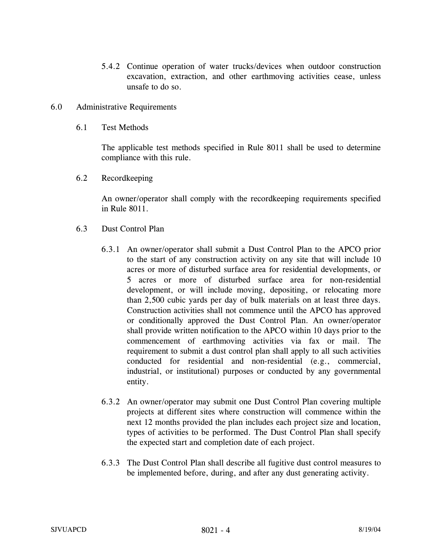- 5.4.2 Continue operation of water trucks/devices when outdoor construction excavation, extraction, and other earthmoving activities cease, unless unsafe to do so.
- 6.0 Administrative Requirements
	- 6.1 Test Methods

The applicable test methods specified in Rule 8011 shall be used to determine compliance with this rule.

6.2 Recordkeeping

An owner/operator shall comply with the recordkeeping requirements specified in Rule 8011.

- 6.3 Dust Control Plan
	- 6.3.1 An owner/operator shall submit a Dust Control Plan to the APCO prior to the start of any construction activity on any site that will include 10 acres or more of disturbed surface area for residential developments, or 5 acres or more of disturbed surface area for non-residential development, or will include moving, depositing, or relocating more than 2,500 cubic yards per day of bulk materials on at least three days. Construction activities shall not commence until the APCO has approved or conditionally approved the Dust Control Plan. An owner/operator shall provide written notification to the APCO within 10 days prior to the commencement of earthmoving activities via fax or mail. The requirement to submit a dust control plan shall apply to all such activities conducted for residential and non-residential (e.g., commercial, industrial, or institutional) purposes or conducted by any governmental entity.
	- 6.3.2 An owner/operator may submit one Dust Control Plan covering multiple projects at different sites where construction will commence within the next 12 months provided the plan includes each project size and location, types of activities to be performed. The Dust Control Plan shall specify the expected start and completion date of each project.
	- 6.3.3 The Dust Control Plan shall describe all fugitive dust control measures to be implemented before, during, and after any dust generating activity.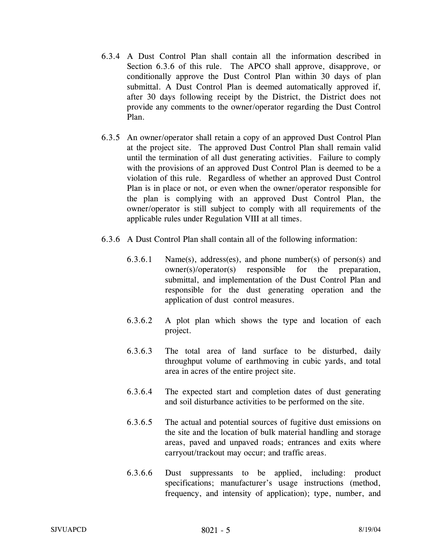- 6.3.4 A Dust Control Plan shall contain all the information described in Section 6.3.6 of this rule. The APCO shall approve, disapprove, or conditionally approve the Dust Control Plan within 30 days of plan submittal. A Dust Control Plan is deemed automatically approved if, after 30 days following receipt by the District, the District does not provide any comments to the owner/operator regarding the Dust Control Plan.
- 6.3.5 An owner/operator shall retain a copy of an approved Dust Control Plan at the project site. The approved Dust Control Plan shall remain valid until the termination of all dust generating activities. Failure to comply with the provisions of an approved Dust Control Plan is deemed to be a violation of this rule. Regardless of whether an approved Dust Control Plan is in place or not, or even when the owner/operator responsible for the plan is complying with an approved Dust Control Plan, the owner/operator is still subject to comply with all requirements of the applicable rules under Regulation VIII at all times.
- 6.3.6 A Dust Control Plan shall contain all of the following information:
	- 6.3.6.1 Name(s), address(es), and phone number(s) of person(s) and owner(s)/operator(s) responsible for the preparation, submittal, and implementation of the Dust Control Plan and responsible for the dust generating operation and the application of dust control measures.
	- 6.3.6.2 A plot plan which shows the type and location of each project.
	- 6.3.6.3 The total area of land surface to be disturbed, daily throughput volume of earthmoving in cubic yards, and total area in acres of the entire project site.
	- 6.3.6.4 The expected start and completion dates of dust generating and soil disturbance activities to be performed on the site.
	- 6.3.6.5 The actual and potential sources of fugitive dust emissions on the site and the location of bulk material handling and storage areas, paved and unpaved roads; entrances and exits where carryout/trackout may occur; and traffic areas.
	- 6.3.6.6 Dust suppressants to be applied, including: product specifications; manufacturer's usage instructions (method, frequency, and intensity of application); type, number, and